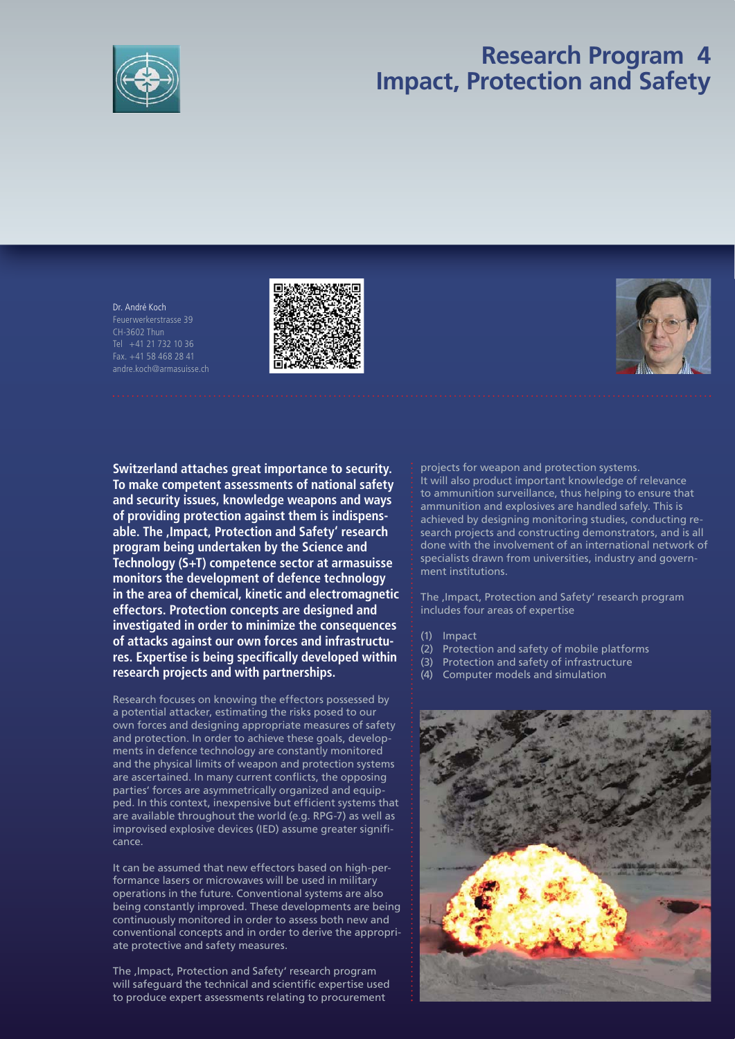

## **Research Program 4 Impact, Protection and Safety**

Dr. André Koch Feuerwerkerstrasse 39 Tel +41 21 732 10 36 Fax. +41 58 468 28 41 andre.koch@armasuisse.ch





**Switzerland attaches great importance to security. To make competent assessments of national safety and security issues, knowledge weapons and ways of providing protection against them is indispensable. The 'Impact, Protection and Safety' research program being undertaken by the Science and Technology (S+T) competence sector at armasuisse monitors the development of defence technology in the area of chemical, kinetic and electromagnetic effectors. Protection concepts are designed and investigated in order to minimize the consequences of attacks against our own forces and infrastructu**res. Expertise is being specifically developed within **research projects and with partnerships.** 

Research focuses on knowing the effectors possessed by a potential attacker, estimating the risks posed to our own forces and designing appropriate measures of safety and protection. In order to achieve these goals, developments in defence technology are constantly monitored and the physical limits of weapon and protection systems are ascertained. In many current conflicts, the opposing parties' forces are asymmetrically organized and equipped. In this context, inexpensive but efficient systems that are available throughout the world (e.g. RPG-7) as well as improvised explosive devices (IED) assume greater significance.

It can be assumed that new effectors based on high-performance lasers or microwaves will be used in military operations in the future. Conventional systems are also being constantly improved. These developments are being continuously monitored in order to assess both new and conventional concepts and in order to derive the appropriate protective and safety measures.

The , Impact, Protection and Safety' research program will safeguard the technical and scientific expertise used to produce expert assessments relating to procurement

projects for weapon and protection systems. It will also product important knowledge of relevance to ammunition surveillance, thus helping to ensure that ammunition and explosives are handled safely. This is achieved by designing monitoring studies, conducting research projects and constructing demonstrators, and is all done with the involvement of an international network of specialists drawn from universities, industry and government institutions.

The , Impact, Protection and Safety' research program includes four areas of expertise

(1) Impact

- (2) Protection and safety of mobile platforms
- (3) Protection and safety of infrastructure
- (4) Computer models and simulation